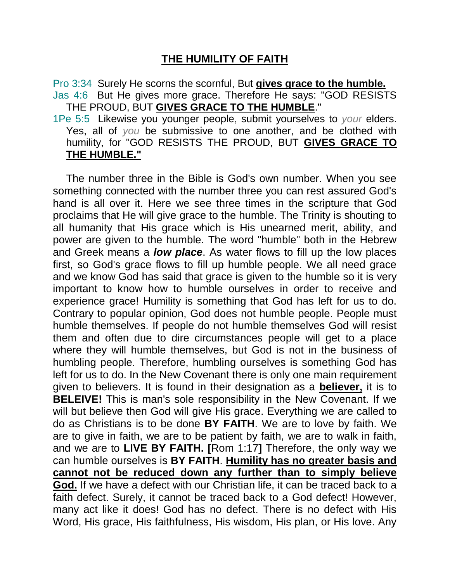## **THE HUMILITY OF FAITH**

Pro 3:34 Surely He scorns the scornful, But **gives grace to the humble.** Jas 4:6 But He gives more grace. Therefore He says: "GOD RESISTS THE PROUD, BUT **GIVES GRACE TO THE HUMBLE**."

1Pe 5:5 Likewise you younger people, submit yourselves to *your* elders. Yes, all of *you* be submissive to one another, and be clothed with humility, for "GOD RESISTS THE PROUD, BUT **GIVES GRACE TO THE HUMBLE."** 

The number three in the Bible is God's own number. When you see something connected with the number three you can rest assured God's hand is all over it. Here we see three times in the scripture that God proclaims that He will give grace to the humble. The Trinity is shouting to all humanity that His grace which is His unearned merit, ability, and power are given to the humble. The word "humble" both in the Hebrew and Greek means a *low place*. As water flows to fill up the low places first, so God's grace flows to fill up humble people. We all need grace and we know God has said that grace is given to the humble so it is very important to know how to humble ourselves in order to receive and experience grace! Humility is something that God has left for us to do. Contrary to popular opinion, God does not humble people. People must humble themselves. If people do not humble themselves God will resist them and often due to dire circumstances people will get to a place where they will humble themselves, but God is not in the business of humbling people. Therefore, humbling ourselves is something God has left for us to do. In the New Covenant there is only one main requirement given to believers. It is found in their designation as a **believer,** it is to **BELEIVE!** This is man's sole responsibility in the New Covenant. If we will but believe then God will give His grace. Everything we are called to do as Christians is to be done **BY FAITH**. We are to love by faith. We are to give in faith, we are to be patient by faith, we are to walk in faith, and we are to **LIVE BY FAITH. [**Rom 1:17**]** Therefore, the only way we can humble ourselves is **BY FAITH**. **Humility has no greater basis and cannot not be reduced down any further than to simply believe God.** If we have a defect with our Christian life, it can be traced back to a faith defect. Surely, it cannot be traced back to a God defect! However, many act like it does! God has no defect. There is no defect with His Word, His grace, His faithfulness, His wisdom, His plan, or His love. Any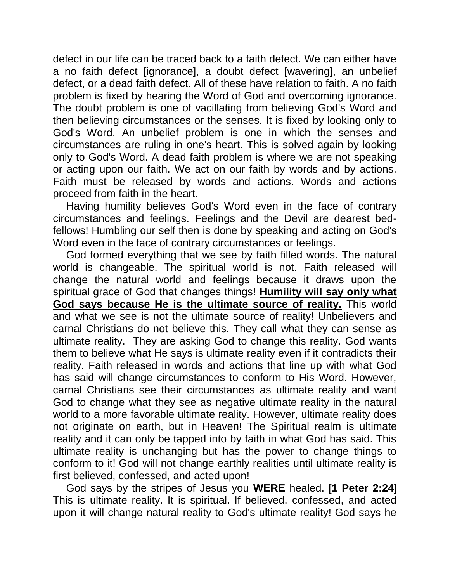defect in our life can be traced back to a faith defect. We can either have a no faith defect [ignorance], a doubt defect [wavering], an unbelief defect, or a dead faith defect. All of these have relation to faith. A no faith problem is fixed by hearing the Word of God and overcoming ignorance. The doubt problem is one of vacillating from believing God's Word and then believing circumstances or the senses. It is fixed by looking only to God's Word. An unbelief problem is one in which the senses and circumstances are ruling in one's heart. This is solved again by looking only to God's Word. A dead faith problem is where we are not speaking or acting upon our faith. We act on our faith by words and by actions. Faith must be released by words and actions. Words and actions proceed from faith in the heart.

Having humility believes God's Word even in the face of contrary circumstances and feelings. Feelings and the Devil are dearest bedfellows! Humbling our self then is done by speaking and acting on God's Word even in the face of contrary circumstances or feelings.

God formed everything that we see by faith filled words. The natural world is changeable. The spiritual world is not. Faith released will change the natural world and feelings because it draws upon the spiritual grace of God that changes things! **Humility will say only what God says because He is the ultimate source of reality.** This world and what we see is not the ultimate source of reality! Unbelievers and carnal Christians do not believe this. They call what they can sense as ultimate reality. They are asking God to change this reality. God wants them to believe what He says is ultimate reality even if it contradicts their reality. Faith released in words and actions that line up with what God has said will change circumstances to conform to His Word. However, carnal Christians see their circumstances as ultimate reality and want God to change what they see as negative ultimate reality in the natural world to a more favorable ultimate reality. However, ultimate reality does not originate on earth, but in Heaven! The Spiritual realm is ultimate reality and it can only be tapped into by faith in what God has said. This ultimate reality is unchanging but has the power to change things to conform to it! God will not change earthly realities until ultimate reality is first believed, confessed, and acted upon!

God says by the stripes of Jesus you **WERE** healed. [**1 Peter 2:24**] This is ultimate reality. It is spiritual. If believed, confessed, and acted upon it will change natural reality to God's ultimate reality! God says he